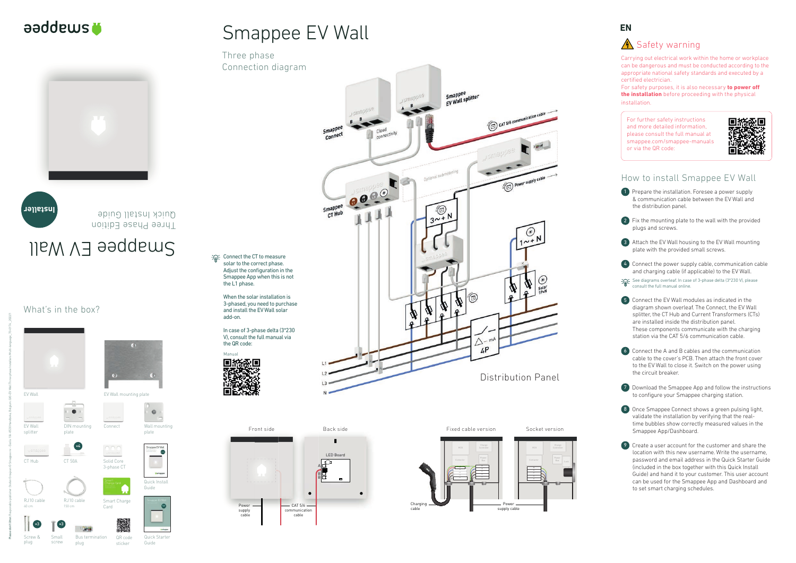Carrying out electrical work within the home or workplace can be dangerous and must be conducted according to the appropriate national safety standards and executed by a certified electrician.

### What's in the box?

For safety purposes, it is also necessary **to power off the installation** before proceeding with the physical installation.

1 Prepare the installation. Foresee a power supply & communication cable between the EV Wall and the distribution panel.



For further safety instructions and more detailed information, please consult the full manual at smappee.com/smappee-manuals or via the QR code:



## How to install Smappee EV Wall

2 Fix the mounting plate to the wall with the provided plugs and screws.



7 Download the Smappee App and follow the instructions to configure your Smappee charging station.

3 Attach the EV Wall housing to the EV Wall mounting plate with the provided small screws.



4 Connect the power supply cable, communication cable and charging cable (if applicable) to the EV Wall.



See diagrams overleaf. In case of 3-phase delta (3\*230 V), please consult the full manual online.



5 Connect the EV Wall modules as indicated in the diagram shown overleaf. The Connect, the EV Wall splitter, the CT Hub and Current Transformers (CTs) are installed inside the distribution panel. These components communicate with the charging station via the CAT 5/6 communication cable.



6 Connect the A and B cables and the communication cable to the cover's PCB. Then attach the front cover to the EV Wall to close it. Switch on the power using the circuit breaker.



**COLE**: Connect the CT to measure solar to the correct phase. Adjust the configuration in the Smappee App when this is not







# Smappee EV Wall

8 Once Smappee Connect shows a green pulsing light, validate the installation by verifying that the realtime bubbles show correctly measured values in the Smappee App/Dashboard.

9 Create a user account for the customer and share the location with this new username. Write the username, password and email address in the Quick Starter Guide (included in the box together with this Quick Install Guide) and hand it to your customer. This user account can be used for the Smappee App and Dashboard and to set smart charging schedules.



## **A** Safety warning

Wall mounting

 $\circ$ 

Bus termination plug

# Smappee EV Wall

Three phase Connection diagram



Front side Back side Fixed cable version Socket version LED Board  $\overline{\mathcal{O}}$ A<br>B<br>B  $\bullet$  $-$  CAT 5/6 Power communication supply cable cable





**Please don't litter.** Responsible publisher: Stefan Grosjean © Smappee nv - Evolis 104 -8530 Harelbeke, Belgium. QIG-EV Wall Three phase Installers Multi-language\_70-0174 \_2022/1

Manual

the L1 phase.

When the solar installation is 3-phased, you need to purchase and install the EV Wall solar

add-on.

In case of 3-phase delta (3\*230 V), consult the full manual via

the QR code:

回族委回

Screw & plug

Small screw QR code sticker

Quick Starter Guide